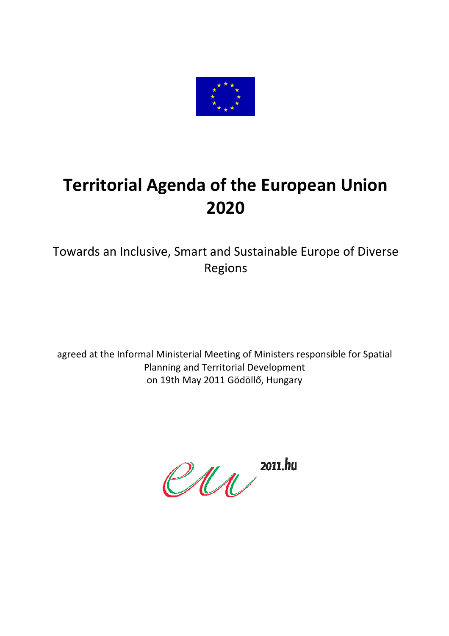

# **Territorial Agenda of the European Union 2020**

Towards an Inclusive, Smart and Sustainable Europe of Diverse Regions

agreed at the Informal Ministerial Meeting of Ministers responsible for Spatial Planning and Territorial Development on 19th May 2011 Gödöllő, Hungary

 $eu$  2011.hu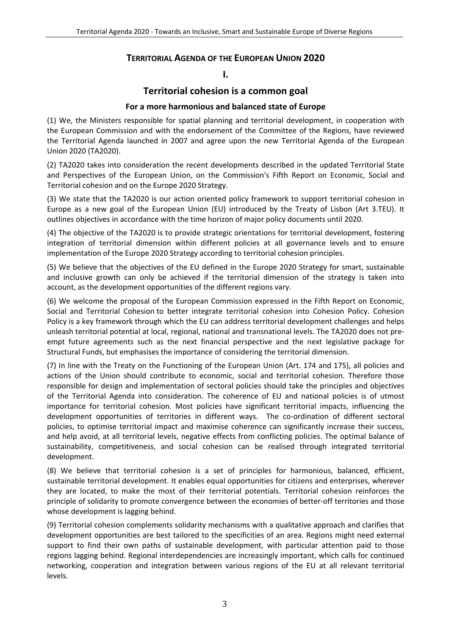# **TERRITORIAL AGENDA OF THE EUROPEAN UNION 2020**

#### **I.**

# **Territorial cohesion is a common goal**

#### **For a more harmonious and balanced state of Europe**

(1) We, the Ministers responsible for spatial planning and territorial development, in cooperation with the European Commission and with the endorsement of the Committee of the Regions, have reviewed the Territorial Agenda launched in 2007 and agree upon the new Territorial Agenda of the European Union 2020 (TA2020).

(2) TA2020 takes into consideration the recent developments described in the updated Territorial State and Perspectives of the European Union, on the Commission's Fifth Report on Economic, Social and Territorial cohesion and on the Europe 2020 Strategy.

(3) We state that the TA2020 is our action oriented policy framework to support territorial cohesion in Europe as a new goal of the European Union (EU) introduced by the Treaty of Lisbon (Art 3.TEU). It outlines objectives in accordance with the time horizon of major policy documents until 2020.

(4) The objective of the TA2020 is to provide strategic orientations for territorial development, fostering integration of territorial dimension within different policies at all governance levels and to ensure implementation of the Europe 2020 Strategy according to territorial cohesion principles.

(5) We believe that the objectives of the EU defined in the Europe 2020 Strategy for smart, sustainable and inclusive growth can only be achieved if the territorial dimension of the strategy is taken into account, as the development opportunities of the different regions vary.

(6) We welcome the proposal of the European Commission expressed in the Fifth Report on Economic, Social and Territorial Cohesion to better integrate territorial cohesion into Cohesion Policy. Cohesion Policy is a key framework through which the EU can address territorial development challenges and helps unleash territorial potential at local, regional, national and transnational levels. The TA2020 does not pre‐ empt future agreements such as the next financial perspective and the next legislative package for Structural Funds, but emphasises the importance of considering the territorial dimension.

(7) In line with the Treaty on the Functioning of the European Union (Art. 174 and 175), all policies and actions of the Union should contribute to economic, social and territorial cohesion. Therefore those responsible for design and implementation of sectoral policies should take the principles and objectives of the Territorial Agenda into consideration. The coherence of EU and national policies is of utmost importance for territorial cohesion. Most policies have significant territorial impacts, influencing the development opportunities of territories in different ways. The co-ordination of different sectoral policies, to optimise territorial impact and maximise coherence can significantly increase their success, and help avoid, at all territorial levels, negative effects from conflicting policies. The optimal balance of sustainability, competitiveness, and social cohesion can be realised through integrated territorial development.

(8) We believe that territorial cohesion is a set of principles for harmonious, balanced, efficient, sustainable territorial development. It enables equal opportunities for citizens and enterprises, wherever they are located, to make the most of their territorial potentials. Territorial cohesion reinforces the principle of solidarity to promote convergence between the economies of better-off territories and those whose development is lagging behind.

(9) Territorial cohesion complements solidarity mechanisms with a qualitative approach and clarifies that development opportunities are best tailored to the specificities of an area. Regions might need external support to find their own paths of sustainable development, with particular attention paid to those regions lagging behind. Regional interdependencies are increasingly important, which calls for continued networking, cooperation and integration between various regions of the EU at all relevant territorial levels.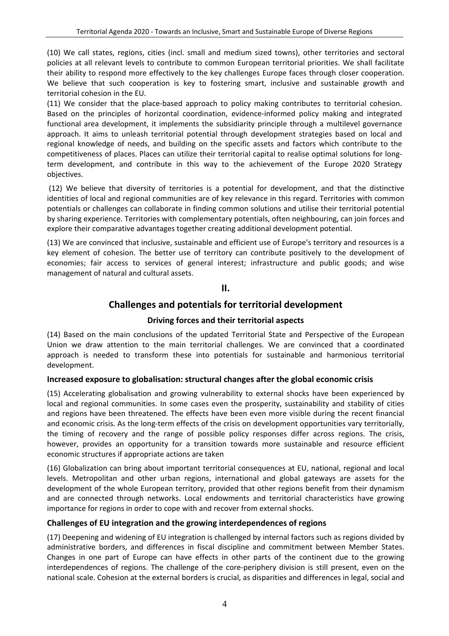(10) We call states, regions, cities (incl. small and medium sized towns), other territories and sectoral policies at all relevant levels to contribute to common European territorial priorities. We shall facilitate their ability to respond more effectively to the key challenges Europe faces through closer cooperation. We believe that such cooperation is key to fostering smart, inclusive and sustainable growth and territorial cohesion in the EU.

(11) We consider that the place‐based approach to policy making contributes to territorial cohesion. Based on the principles of horizontal coordination, evidence-informed policy making and integrated functional area development, it implements the subsidiarity principle through a multilevel governance approach. It aims to unleash territorial potential through development strategies based on local and regional knowledge of needs, and building on the specific assets and factors which contribute to the competitiveness of places. Places can utilize their territorial capital to realise optimal solutions for long‐ term development, and contribute in this way to the achievement of the Europe 2020 Strategy objectives.

(12) We believe that diversity of territories is a potential for development, and that the distinctive identities of local and regional communities are of key relevance in this regard. Territories with common potentials or challenges can collaborate in finding common solutions and utilise their territorial potential by sharing experience. Territories with complementary potentials, often neighbouring, can join forces and explore their comparative advantages together creating additional development potential.

(13) We are convinced that inclusive, sustainable and efficient use of Europe's territory and resources is a key element of cohesion. The better use of territory can contribute positively to the development of economies; fair access to services of general interest; infrastructure and public goods; and wise management of natural and cultural assets.

**II.**

# **Challenges and potentials for territorial development**

# **Driving forces and their territorial aspects**

(14) Based on the main conclusions of the updated Territorial State and Perspective of the European Union we draw attention to the main territorial challenges. We are convinced that a coordinated approach is needed to transform these into potentials for sustainable and harmonious territorial development.

#### **Increased exposure to globalisation: structural changes after the global economic crisis**

(15) Accelerating globalisation and growing vulnerability to external shocks have been experienced by local and regional communities. In some cases even the prosperity, sustainability and stability of cities and regions have been threatened. The effects have been even more visible during the recent financial and economic crisis. As the long-term effects of the crisis on development opportunities vary territorially, the timing of recovery and the range of possible policy responses differ across regions. The crisis, however, provides an opportunity for a transition towards more sustainable and resource efficient economic structures if appropriate actions are taken

(16) Globalization can bring about important territorial consequences at EU, national, regional and local levels. Metropolitan and other urban regions, international and global gateways are assets for the development of the whole European territory, provided that other regions benefit from their dynamism and are connected through networks. Local endowments and territorial characteristics have growing importance for regions in order to cope with and recover from external shocks.

# **Challenges of EU integration and the growing interdependences of regions**

(17) Deepening and widening of EU integration is challenged by internal factors such as regions divided by administrative borders, and differences in fiscal discipline and commitment between Member States. Changes in one part of Europe can have effects in other parts of the continent due to the growing interdependences of regions. The challenge of the core-periphery division is still present, even on the national scale. Cohesion at the external borders is crucial, as disparities and differences in legal, social and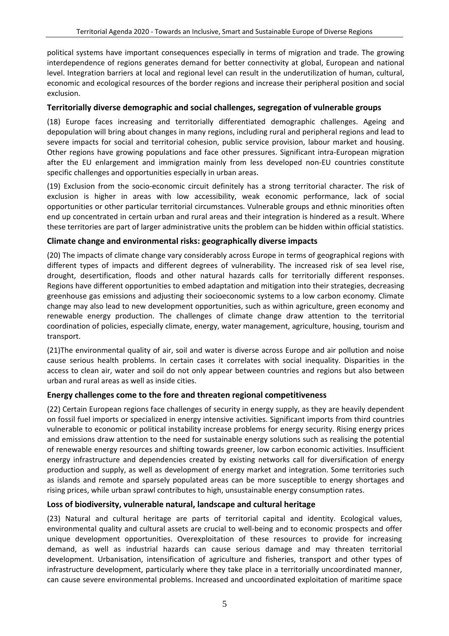political systems have important consequences especially in terms of migration and trade. The growing interdependence of regions generates demand for better connectivity at global, European and national level. Integration barriers at local and regional level can result in the underutilization of human, cultural, economic and ecological resources of the border regions and increase their peripheral position and social exclusion.

#### **Territorially diverse demographic and social challenges, segregation of vulnerable groups**

(18) Europe faces increasing and territorially differentiated demographic challenges. Ageing and depopulation will bring about changes in many regions, including rural and peripheral regions and lead to severe impacts for social and territorial cohesion, public service provision, labour market and housing. Other regions have growing populations and face other pressures. Significant intra‐European migration after the EU enlargement and immigration mainly from less developed non‐EU countries constitute specific challenges and opportunities especially in urban areas.

(19) Exclusion from the socio‐economic circuit definitely has a strong territorial character. The risk of exclusion is higher in areas with low accessibility, weak economic performance, lack of social opportunities or other particular territorial circumstances. Vulnerable groups and ethnic minorities often end up concentrated in certain urban and rural areas and their integration is hindered as a result. Where these territories are part of larger administrative units the problem can be hidden within official statistics.

# **Climate change and environmental risks: geographically diverse impacts**

(20) The impacts of climate change vary considerably across Europe in terms of geographical regions with different types of impacts and different degrees of vulnerability. The increased risk of sea level rise, drought, desertification, floods and other natural hazards calls for territorially different responses. Regions have different opportunities to embed adaptation and mitigation into their strategies, decreasing greenhouse gas emissions and adjusting their socioeconomic systems to a low carbon economy. Climate change may also lead to new development opportunities, such as within agriculture, green economy and renewable energy production. The challenges of climate change draw attention to the territorial coordination of policies, especially climate, energy, water management, agriculture, housing, tourism and transport.

(21)The environmental quality of air, soil and water is diverse across Europe and air pollution and noise cause serious health problems. In certain cases it correlates with social inequality. Disparities in the access to clean air, water and soil do not only appear between countries and regions but also between urban and rural areas as well as inside cities.

#### **Energy challenges come to the fore and threaten regional competitiveness**

(22) Certain European regions face challenges of security in energy supply, as they are heavily dependent on fossil fuel imports or specialized in energy intensive activities. Significant imports from third countries vulnerable to economic or political instability increase problems for energy security. Rising energy prices and emissions draw attention to the need for sustainable energy solutions such as realising the potential of renewable energy resources and shifting towards greener, low carbon economic activities. Insufficient energy infrastructure and dependencies created by existing networks call for diversification of energy production and supply, as well as development of energy market and integration. Some territories such as islands and remote and sparsely populated areas can be more susceptible to energy shortages and rising prices, while urban sprawl contributes to high, unsustainable energy consumption rates.

#### **Loss of biodiversity, vulnerable natural, landscape and cultural heritage**

(23) Natural and cultural heritage are parts of territorial capital and identity. Ecological values, environmental quality and cultural assets are crucial to well‐being and to economic prospects and offer unique development opportunities. Overexploitation of these resources to provide for increasing demand, as well as industrial hazards can cause serious damage and may threaten territorial development. Urbanisation, intensification of agriculture and fisheries, transport and other types of infrastructure development, particularly where they take place in a territorially uncoordinated manner, can cause severe environmental problems. Increased and uncoordinated exploitation of maritime space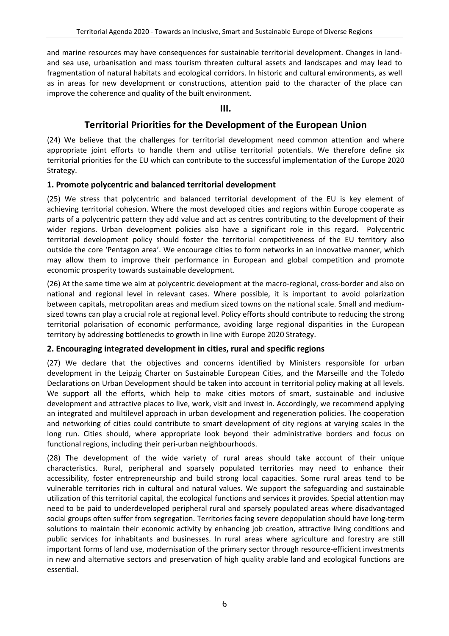and marine resources may have consequences for sustainable territorial development. Changes in landand sea use, urbanisation and mass tourism threaten cultural assets and landscapes and may lead to fragmentation of natural habitats and ecological corridors. In historic and cultural environments, as well as in areas for new development or constructions, attention paid to the character of the place can improve the coherence and quality of the built environment.

#### **III.**

# **Territorial Priorities for the Development of the European Union**

(24) We believe that the challenges for territorial development need common attention and where appropriate joint efforts to handle them and utilise territorial potentials. We therefore define six territorial priorities for the EU which can contribute to the successful implementation of the Europe 2020 Strategy.

#### **1. Promote polycentric and balanced territorial development**

(25) We stress that polycentric and balanced territorial development of the EU is key element of achieving territorial cohesion. Where the most developed cities and regions within Europe cooperate as parts of a polycentric pattern they add value and act as centres contributing to the development of their wider regions. Urban development policies also have a significant role in this regard. Polycentric territorial development policy should foster the territorial competitiveness of the EU territory also outside the core 'Pentagon area'. We encourage cities to form networks in an innovative manner, which may allow them to improve their performance in European and global competition and promote economic prosperity towards sustainable development.

(26) At the same time we aim at polycentric development at the macro-regional, cross-border and also on national and regional level in relevant cases. Where possible, it is important to avoid polarization between capitals, metropolitan areas and medium sized towns on the national scale. Small and medium‐ sized towns can play a crucial role at regional level. Policy efforts should contribute to reducing the strong territorial polarisation of economic performance, avoiding large regional disparities in the European territory by addressing bottlenecks to growth in line with Europe 2020 Strategy.

# **2. Encouraging integrated development in cities, rural and specific regions**

(27) We declare that the objectives and concerns identified by Ministers responsible for urban development in the Leipzig Charter on Sustainable European Cities, and the Marseille and the Toledo Declarations on Urban Development should be taken into account in territorial policy making at all levels. We support all the efforts, which help to make cities motors of smart, sustainable and inclusive development and attractive places to live, work, visit and invest in. Accordingly, we recommend applying an integrated and multilevel approach in urban development and regeneration policies. The cooperation and networking of cities could contribute to smart development of city regions at varying scales in the long run. Cities should, where appropriate look beyond their administrative borders and focus on functional regions, including their peri‐urban neighbourhoods.

(28) The development of the wide variety of rural areas should take account of their unique characteristics. Rural, peripheral and sparsely populated territories may need to enhance their accessibility, foster entrepreneurship and build strong local capacities. Some rural areas tend to be vulnerable territories rich in cultural and natural values. We support the safeguarding and sustainable utilization of this territorial capital, the ecological functions and services it provides. Special attention may need to be paid to underdeveloped peripheral rural and sparsely populated areas where disadvantaged social groups often suffer from segregation. Territories facing severe depopulation should have long‐term solutions to maintain their economic activity by enhancing job creation, attractive living conditions and public services for inhabitants and businesses. In rural areas where agriculture and forestry are still important forms of land use, modernisation of the primary sector through resource-efficient investments in new and alternative sectors and preservation of high quality arable land and ecological functions are essential.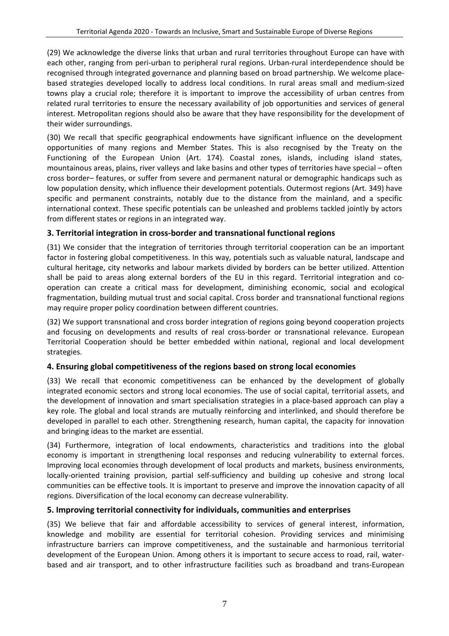(29) We acknowledge the diverse links that urban and rural territories throughout Europe can have with each other, ranging from peri-urban to peripheral rural regions. Urban-rural interdependence should be recognised through integrated governance and planning based on broad partnership. We welcome place‐ based strategies developed locally to address local conditions. In rural areas small and medium‐sized towns play a crucial role; therefore it is important to improve the accessibility of urban centres from related rural territories to ensure the necessary availability of job opportunities and services of general interest. Metropolitan regions should also be aware that they have responsibility for the development of their wider surroundings.

(30) We recall that specific geographical endowments have significant influence on the development opportunities of many regions and Member States. This is also recognised by the Treaty on the Functioning of the European Union (Art. 174). Coastal zones, islands, including island states, mountainous areas, plains, river valleys and lake basins and other types of territories have special – often cross border– features, or suffer from severe and permanent natural or demographic handicaps such as low population density, which influence their development potentials. Outermost regions (Art. 349) have specific and permanent constraints, notably due to the distance from the mainland, and a specific international context. These specific potentials can be unleashed and problems tackled jointly by actors from different states or regions in an integrated way.

# **3. Territorial integration in cross‐border and transnational functional regions**

(31) We consider that the integration of territories through territorial cooperation can be an important factor in fostering global competitiveness. In this way, potentials such as valuable natural, landscape and cultural heritage, city networks and labour markets divided by borders can be better utilized. Attention shall be paid to areas along external borders of the EU in this regard. Territorial integration and co‐ operation can create a critical mass for development, diminishing economic, social and ecological fragmentation, building mutual trust and social capital. Cross border and transnational functional regions may require proper policy coordination between different countries.

(32) We support transnational and cross border integration of regions going beyond cooperation projects and focusing on developments and results of real cross‐border or transnational relevance. European Territorial Cooperation should be better embedded within national, regional and local development strategies.

# **4. Ensuring global competitiveness of the regions based on strong local economies**

(33) We recall that economic competitiveness can be enhanced by the development of globally integrated economic sectors and strong local economies. The use of social capital, territorial assets, and the development of innovation and smart specialisation strategies in a place‐based approach can play a key role. The global and local strands are mutually reinforcing and interlinked, and should therefore be developed in parallel to each other. Strengthening research, human capital, the capacity for innovation and bringing ideas to the market are essential.

(34) Furthermore, integration of local endowments, characteristics and traditions into the global economy is important in strengthening local responses and reducing vulnerability to external forces. Improving local economies through development of local products and markets, business environments, locally‐oriented training provision, partial self‐sufficiency and building up cohesive and strong local communities can be effective tools. It is important to preserve and improve the innovation capacity of all regions. Diversification of the local economy can decrease vulnerability.

# **5. Improving territorial connectivity for individuals, communities and enterprises**

(35) We believe that fair and affordable accessibility to services of general interest, information, knowledge and mobility are essential for territorial cohesion. Providing services and minimising infrastructure barriers can improve competitiveness, and the sustainable and harmonious territorial development of the European Union. Among others it is important to secure access to road, rail, water‐ based and air transport, and to other infrastructure facilities such as broadband and trans‐European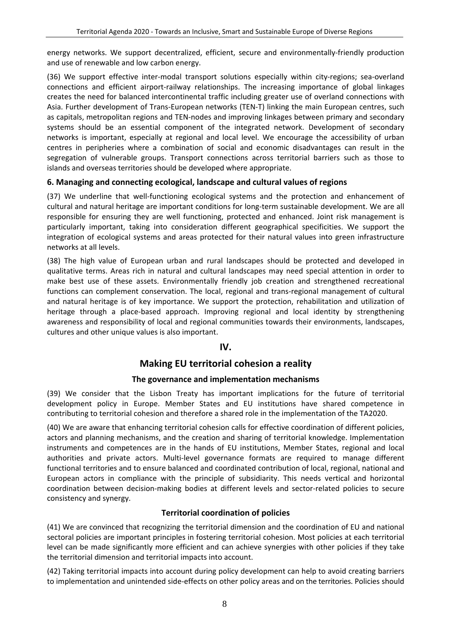energy networks. We support decentralized, efficient, secure and environmentally-friendly production and use of renewable and low carbon energy.

(36) We support effective inter-modal transport solutions especially within city-regions; sea-overland connections and efficient airport‐railway relationships. The increasing importance of global linkages creates the need for balanced intercontinental traffic including greater use of overland connections with Asia. Further development of Trans‐European networks (TEN‐T) linking the main European centres, such as capitals, metropolitan regions and TEN‐nodes and improving linkages between primary and secondary systems should be an essential component of the integrated network. Development of secondary networks is important, especially at regional and local level. We encourage the accessibility of urban centres in peripheries where a combination of social and economic disadvantages can result in the segregation of vulnerable groups. Transport connections across territorial barriers such as those to islands and overseas territories should be developed where appropriate.

# **6. Managing and connecting ecological, landscape and cultural values of regions**

(37) We underline that well-functioning ecological systems and the protection and enhancement of cultural and natural heritage are important conditions for long‐term sustainable development. We are all responsible for ensuring they are well functioning, protected and enhanced. Joint risk management is particularly important, taking into consideration different geographical specificities. We support the integration of ecological systems and areas protected for their natural values into green infrastructure networks at all levels.

(38) The high value of European urban and rural landscapes should be protected and developed in qualitative terms. Areas rich in natural and cultural landscapes may need special attention in order to make best use of these assets. Environmentally friendly job creation and strengthened recreational functions can complement conservation. The local, regional and trans-regional management of cultural and natural heritage is of key importance. We support the protection, rehabilitation and utilization of heritage through a place-based approach. Improving regional and local identity by strengthening awareness and responsibility of local and regional communities towards their environments, landscapes, cultures and other unique values is also important.

# **IV.**

# **Making EU territorial cohesion a reality**

# **The governance and implementation mechanisms**

(39) We consider that the Lisbon Treaty has important implications for the future of territorial development policy in Europe. Member States and EU institutions have shared competence in contributing to territorial cohesion and therefore a shared role in the implementation of the TA2020.

(40) We are aware that enhancing territorial cohesion calls for effective coordination of different policies, actors and planning mechanisms, and the creation and sharing of territorial knowledge. Implementation instruments and competences are in the hands of EU institutions, Member States, regional and local authorities and private actors. Multi‐level governance formats are required to manage different functional territories and to ensure balanced and coordinated contribution of local, regional, national and European actors in compliance with the principle of subsidiarity. This needs vertical and horizontal coordination between decision-making bodies at different levels and sector-related policies to secure consistency and synergy.

# **Territorial coordination of policies**

(41) We are convinced that recognizing the territorial dimension and the coordination of EU and national sectoral policies are important principles in fostering territorial cohesion. Most policies at each territorial level can be made significantly more efficient and can achieve synergies with other policies if they take the territorial dimension and territorial impacts into account.

(42) Taking territorial impacts into account during policy development can help to avoid creating barriers to implementation and unintended side‐effects on other policy areas and on the territories. Policies should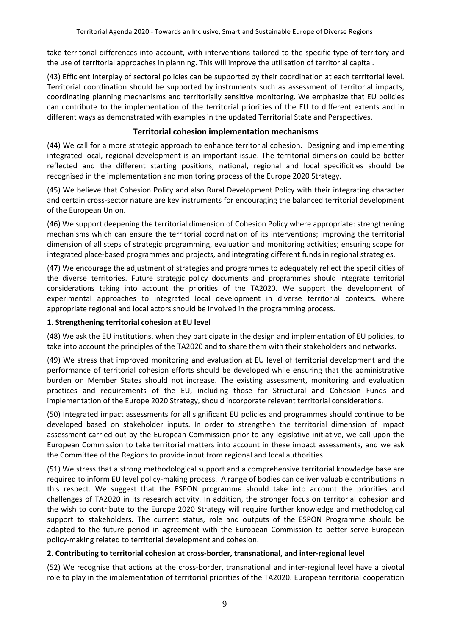take territorial differences into account, with interventions tailored to the specific type of territory and the use of territorial approaches in planning. This will improve the utilisation of territorial capital.

(43) Efficient interplay of sectoral policies can be supported by their coordination at each territorial level. Territorial coordination should be supported by instruments such as assessment of territorial impacts, coordinating planning mechanisms and territorially sensitive monitoring. We emphasize that EU policies can contribute to the implementation of the territorial priorities of the EU to different extents and in different ways as demonstrated with examples in the updated Territorial State and Perspectives.

#### **Territorial cohesion implementation mechanisms**

(44) We call for a more strategic approach to enhance territorial cohesion. Designing and implementing integrated local, regional development is an important issue. The territorial dimension could be better reflected and the different starting positions, national, regional and local specificities should be recognised in the implementation and monitoring process of the Europe 2020 Strategy.

(45) We believe that Cohesion Policy and also Rural Development Policy with their integrating character and certain cross‐sector nature are key instruments for encouraging the balanced territorial development of the European Union.

(46) We support deepening the territorial dimension of Cohesion Policy where appropriate: strengthening mechanisms which can ensure the territorial coordination of its interventions; improving the territorial dimension of all steps of strategic programming, evaluation and monitoring activities; ensuring scope for integrated place‐based programmes and projects, and integrating different funds in regional strategies.

(47) We encourage the adjustment of strategies and programmes to adequately reflect the specificities of the diverse territories. Future strategic policy documents and programmes should integrate territorial considerations taking into account the priorities of the TA2020. We support the development of experimental approaches to integrated local development in diverse territorial contexts. Where appropriate regional and local actors should be involved in the programming process.

#### **1. Strengthening territorial cohesion at EU level**

(48) We ask the EU institutions, when they participate in the design and implementation of EU policies, to take into account the principles of the TA2020 and to share them with their stakeholders and networks.

(49) We stress that improved monitoring and evaluation at EU level of territorial development and the performance of territorial cohesion efforts should be developed while ensuring that the administrative burden on Member States should not increase. The existing assessment, monitoring and evaluation practices and requirements of the EU, including those for Structural and Cohesion Funds and implementation of the Europe 2020 Strategy, should incorporate relevant territorial considerations.

(50) Integrated impact assessments for all significant EU policies and programmes should continue to be developed based on stakeholder inputs. In order to strengthen the territorial dimension of impact assessment carried out by the European Commission prior to any legislative initiative, we call upon the European Commission to take territorial matters into account in these impact assessments, and we ask the Committee of the Regions to provide input from regional and local authorities.

(51) We stress that a strong methodological support and a comprehensive territorial knowledge base are required to inform EU level policy‐making process. A range of bodies can deliver valuable contributions in this respect. We suggest that the ESPON programme should take into account the priorities and challenges of TA2020 in its research activity. In addition, the stronger focus on territorial cohesion and the wish to contribute to the Europe 2020 Strategy will require further knowledge and methodological support to stakeholders. The current status, role and outputs of the ESPON Programme should be adapted to the future period in agreement with the European Commission to better serve European policy‐making related to territorial development and cohesion.

#### **2. Contributing to territorial cohesion at cross‐border, transnational, and inter‐regional level**

(52) We recognise that actions at the cross‐border, transnational and inter‐regional level have a pivotal role to play in the implementation of territorial priorities of the TA2020. European territorial cooperation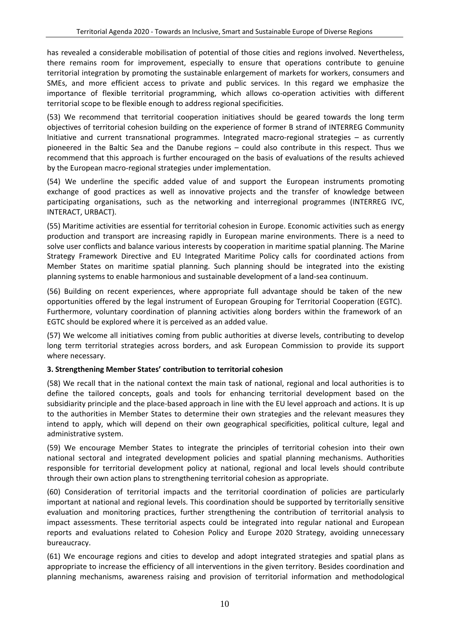has revealed a considerable mobilisation of potential of those cities and regions involved. Nevertheless, there remains room for improvement, especially to ensure that operations contribute to genuine territorial integration by promoting the sustainable enlargement of markets for workers, consumers and SMEs, and more efficient access to private and public services. In this regard we emphasize the importance of flexible territorial programming, which allows co-operation activities with different territorial scope to be flexible enough to address regional specificities.

(53) We recommend that territorial cooperation initiatives should be geared towards the long term objectives of territorial cohesion building on the experience of former B strand of INTERREG Community Initiative and current transnational programmes. Integrated macro‐regional strategies – as currently pioneered in the Baltic Sea and the Danube regions – could also contribute in this respect. Thus we recommend that this approach is further encouraged on the basis of evaluations of the results achieved by the European macro‐regional strategies under implementation.

(54) We underline the specific added value of and support the European instruments promoting exchange of good practices as well as innovative projects and the transfer of knowledge between participating organisations, such as the networking and interregional programmes (INTERREG IVC, INTERACT, URBACT).

(55) Maritime activities are essential for territorial cohesion in Europe. Economic activities such as energy production and transport are increasing rapidly in European marine environments. There is a need to solve user conflicts and balance various interests by cooperation in maritime spatial planning. The Marine Strategy Framework Directive and EU Integrated Maritime Policy calls for coordinated actions from Member States on maritime spatial planning. Such planning should be integrated into the existing planning systems to enable harmonious and sustainable development of a land‐sea continuum.

(56) Building on recent experiences, where appropriate full advantage should be taken of the new opportunities offered by the legal instrument of European Grouping for Territorial Cooperation (EGTC). Furthermore, voluntary coordination of planning activities along borders within the framework of an EGTC should be explored where it is perceived as an added value.

(57) We welcome all initiatives coming from public authorities at diverse levels, contributing to develop long term territorial strategies across borders, and ask European Commission to provide its support where necessary.

#### **3. Strengthening Member States' contribution to territorial cohesion**

(58) We recall that in the national context the main task of national, regional and local authorities is to define the tailored concepts, goals and tools for enhancing territorial development based on the subsidiarity principle and the place-based approach in line with the EU level approach and actions. It is up to the authorities in Member States to determine their own strategies and the relevant measures they intend to apply, which will depend on their own geographical specificities, political culture, legal and administrative system.

(59) We encourage Member States to integrate the principles of territorial cohesion into their own national sectoral and integrated development policies and spatial planning mechanisms. Authorities responsible for territorial development policy at national, regional and local levels should contribute through their own action plans to strengthening territorial cohesion as appropriate.

(60) Consideration of territorial impacts and the territorial coordination of policies are particularly important at national and regional levels. This coordination should be supported by territorially sensitive evaluation and monitoring practices, further strengthening the contribution of territorial analysis to impact assessments. These territorial aspects could be integrated into regular national and European reports and evaluations related to Cohesion Policy and Europe 2020 Strategy, avoiding unnecessary bureaucracy.

(61) We encourage regions and cities to develop and adopt integrated strategies and spatial plans as appropriate to increase the efficiency of all interventions in the given territory. Besides coordination and planning mechanisms, awareness raising and provision of territorial information and methodological